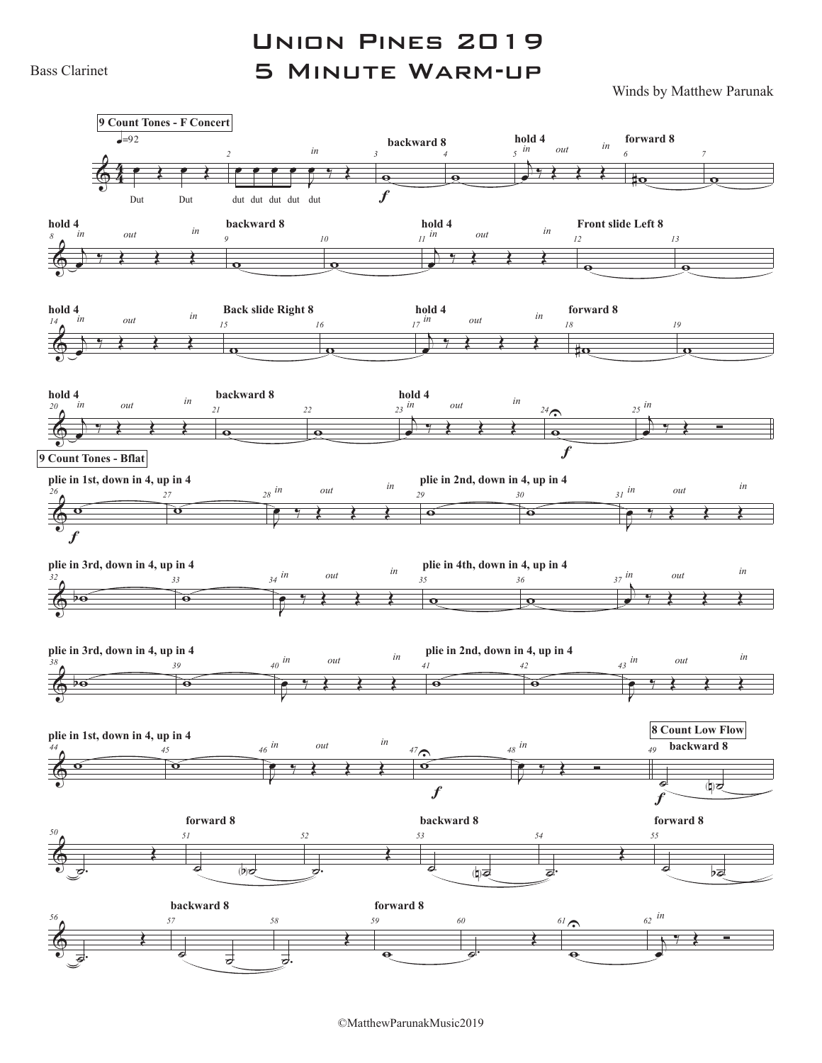Bass Clarinet

## Union Pines 2019 5 Minute Warm-up

Winds by Matthew Parunak